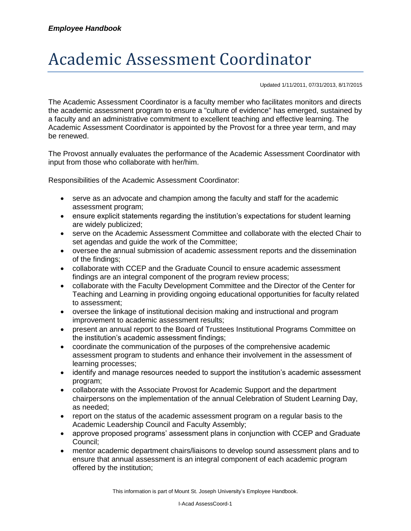## Academic Assessment Coordinator

Updated 1/11/2011, 07/31/2013, 8/17/2015

The Academic Assessment Coordinator is a faculty member who facilitates monitors and directs the academic assessment program to ensure a "culture of evidence" has emerged, sustained by a faculty and an administrative commitment to excellent teaching and effective learning. The Academic Assessment Coordinator is appointed by the Provost for a three year term, and may be renewed.

The Provost annually evaluates the performance of the Academic Assessment Coordinator with input from those who collaborate with her/him.

Responsibilities of the Academic Assessment Coordinator:

- serve as an advocate and champion among the faculty and staff for the academic assessment program;
- ensure explicit statements regarding the institution's expectations for student learning are widely publicized;
- serve on the Academic Assessment Committee and collaborate with the elected Chair to set agendas and guide the work of the Committee;
- oversee the annual submission of academic assessment reports and the dissemination of the findings;
- collaborate with CCEP and the Graduate Council to ensure academic assessment findings are an integral component of the program review process;
- collaborate with the Faculty Development Committee and the Director of the Center for Teaching and Learning in providing ongoing educational opportunities for faculty related to assessment;
- oversee the linkage of institutional decision making and instructional and program improvement to academic assessment results;
- present an annual report to the Board of Trustees Institutional Programs Committee on the institution's academic assessment findings;
- coordinate the communication of the purposes of the comprehensive academic assessment program to students and enhance their involvement in the assessment of learning processes;
- identify and manage resources needed to support the institution's academic assessment program;
- collaborate with the Associate Provost for Academic Support and the department chairpersons on the implementation of the annual Celebration of Student Learning Day, as needed;
- report on the status of the academic assessment program on a regular basis to the Academic Leadership Council and Faculty Assembly;
- approve proposed programs' assessment plans in conjunction with CCEP and Graduate Council;
- mentor academic department chairs/liaisons to develop sound assessment plans and to ensure that annual assessment is an integral component of each academic program offered by the institution;